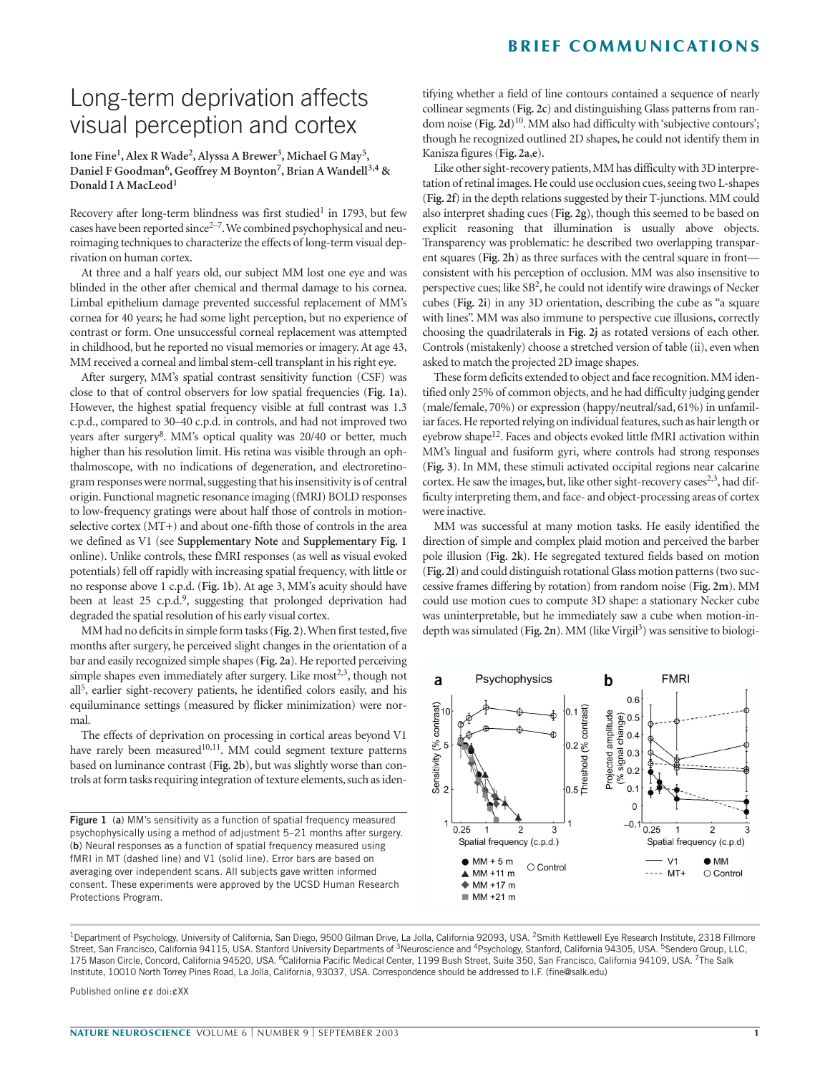## **BRIEF COMMUNICATIONS**

# Long-term deprivation affects visual perception and cortex

### **Ione Fine1, Alex R Wade2, Alyssa A Brewer3, Michael G May5, Daniel F Goodman6, Geoffrey M Boynton7, Brian A Wandell3,4 & Donald I A MacLeod<sup>1</sup>**

Recovery after long-term blindness was first studied<sup>1</sup> in 1793, but few cases have been reported since<sup>2-7</sup>. We combined psychophysical and neuroimaging techniques to characterize the effects of long-term visual deprivation on human cortex.

At three and a half years old, our subject MM lost one eye and was blinded in the other after chemical and thermal damage to his cornea. Limbal epithelium damage prevented successful replacement of MM's cornea for 40 years; he had some light perception, but no experience of contrast or form. One unsuccessful corneal replacement was attempted in childhood, but he reported no visual memories or imagery. At age 43, MM received a corneal and limbal stem-cell transplant in his right eye.

After surgery, MM's spatial contrast sensitivity function (CSF) was close to that of control observers for low spatial frequencies (**Fig. 1a**). However, the highest spatial frequency visible at full contrast was 1.3 c.p.d., compared to 30–40 c.p.d. in controls, and had not improved two years after surgery<sup>8</sup>. MM's optical quality was 20/40 or better, much higher than his resolution limit. His retina was visible through an ophthalmoscope, with no indications of degeneration, and electroretinogram responses were normal, suggesting that his insensitivity is of central origin. Functional magnetic resonance imaging (fMRI) BOLD responses to low-frequency gratings were about half those of controls in motionselective cortex (MT+) and about one-fifth those of controls in the area we defined as V1 (see **Supplementary Note** and **Supplementary Fig. 1** online). Unlike controls, these fMRI responses (as well as visual evoked potentials) fell off rapidly with increasing spatial frequency, with little or no response above 1 c.p.d. (**Fig. 1b**). At age 3, MM's acuity should have been at least 25 c.p.d.<sup>9</sup>, suggesting that prolonged deprivation had degraded the spatial resolution of his early visual cortex.

MM had no deficits in simple form tasks (**Fig. 2**).When first tested, five months after surgery, he perceived slight changes in the orientation of a bar and easily recognized simple shapes (**Fig. 2a**). He reported perceiving simple shapes even immediately after surgery. Like most<sup>2,3</sup>, though not  $all<sup>5</sup>$ , earlier sight-recovery patients, he identified colors easily, and his equiluminance settings (measured by flicker minimization) were normal.

The effects of deprivation on processing in cortical areas beyond V1 have rarely been measured<sup>10,11</sup>. MM could segment texture patterns based on luminance contrast (**Fig. 2b**), but was slightly worse than controls at form tasks requiring integration of texture elements, such as iden-

**Figure 1** (**a**) MM's sensitivity as a function of spatial frequency measured psychophysically using a method of adjustment 5–21 months after surgery. (**b**) Neural responses as a function of spatial frequency measured using fMRI in MT (dashed line) and V1 (solid line). Error bars are based on averaging over independent scans. All subjects gave written informed consent. These experiments were approved by the UCSD Human Research Protections Program.

tifying whether a field of line contours contained a sequence of nearly collinear segments (**Fig. 2c**) and distinguishing Glass patterns from random noise (Fig. 2d)<sup>10</sup>. MM also had difficulty with 'subjective contours'; though he recognized outlined 2D shapes, he could not identify them in Kanisza figures (**Fig. 2a**,**e**).

Like other sight-recovery patients, MM has difficulty with 3D interpretation of retinal images. He could use occlusion cues, seeing two L-shapes (**Fig. 2f**) in the depth relations suggested by their T-junctions. MM could also interpret shading cues (**Fig. 2g**), though this seemed to be based on explicit reasoning that illumination is usually above objects. Transparency was problematic: he described two overlapping transparent squares (**Fig. 2h**) as three surfaces with the central square in front consistent with his perception of occlusion. MM was also insensitive to perspective cues; like SB2, he could not identify wire drawings of Necker cubes (**Fig. 2i**) in any 3D orientation, describing the cube as "a square with lines". MM was also immune to perspective cue illusions, correctly choosing the quadrilaterals in **Fig. 2j** as rotated versions of each other. Controls (mistakenly) choose a stretched version of table (ii), even when asked to match the projected 2D image shapes.

These form deficits extended to object and face recognition. MM identified only 25% of common objects, and he had difficulty judging gender (male/female, 70%) or expression (happy/neutral/sad, 61%) in unfamiliar faces. He reported relying on individual features, such as hair length or eyebrow shape<sup>12</sup>. Faces and objects evoked little fMRI activation within MM's lingual and fusiform gyri, where controls had strong responses (**Fig. 3**). In MM, these stimuli activated occipital regions near calcarine cortex. He saw the images, but, like other sight-recovery cases<sup>2,3</sup>, had difficulty interpreting them, and face- and object-processing areas of cortex were inactive.

MM was successful at many motion tasks. He easily identified the direction of simple and complex plaid motion and perceived the barber pole illusion (**Fig. 2k**). He segregated textured fields based on motion (**Fig. 2l**) and could distinguish rotational Glass motion patterns (two successive frames differing by rotation) from random noise (**Fig. 2m**). MM could use motion cues to compute 3D shape: a stationary Necker cube was uninterpretable, but he immediately saw a cube when motion-indepth was simulated (Fig. 2n). MM (like Virgil<sup>3</sup>) was sensitive to biologi-



<sup>1</sup>Department of Psychology, University of California, San Diego, 9500 Gilman Drive, La Jolla, California 92093, USA. <sup>2</sup>Smith Kettlewell Eye Research Institute, 2318 Fillmore Street, San Francisco, California 94115, USA. Stanford University Departments of <sup>3</sup>Neuroscience and <sup>4</sup>Psychology, Stanford, California 94305, USA. <sup>5</sup>Sendero Group, LLC, 175 Mason Circle, Concord, California 94520, USA. <sup>6</sup>California Pacific Medical Center, 1199 Bush Street, Suite 350, San Francisco, California 94109, USA. <sup>7</sup>The Salk Institute, 10010 North Torrey Pines Road, La Jolla, California, 93037, USA. Correspondence should be addressed to I.F. (fine@salk.edu)

Published online ¢¢ doi:¢XX